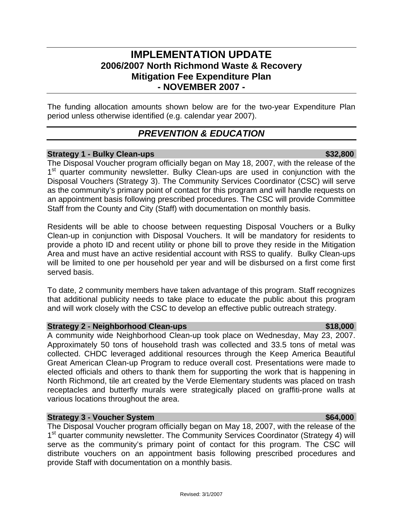# **IMPLEMENTATION UPDATE 2006/2007 North Richmond Waste & Recovery Mitigation Fee Expenditure Plan - NOVEMBER 2007 -**

The funding allocation amounts shown below are for the two-year Expenditure Plan period unless otherwise identified (e.g. calendar year 2007).

# *PREVENTION & EDUCATION*

### **Strategy 1 - Bulky Clean-ups \$32,800 \$32,800 \$32,800 \$32.800 \$32.800 \$32.800 \$32.800 \$32.800 \$32.800 \$32.800 \$**

The Disposal Voucher program officially began on May 18, 2007, with the release of the 1<sup>st</sup> quarter community newsletter. Bulky Clean-ups are used in conjunction with the Disposal Vouchers (Strategy 3). The Community Services Coordinator (CSC) will serve as the community's primary point of contact for this program and will handle requests on an appointment basis following prescribed procedures. The CSC will provide Committee Staff from the County and City (Staff) with documentation on monthly basis.

Residents will be able to choose between requesting Disposal Vouchers or a Bulky Clean-up in conjunction with Disposal Vouchers. It will be mandatory for residents to provide a photo ID and recent utility or phone bill to prove they reside in the Mitigation Area and must have an active residential account with RSS to qualify. Bulky Clean-ups will be limited to one per household per year and will be disbursed on a first come first served basis.

To date, 2 community members have taken advantage of this program. Staff recognizes that additional publicity needs to take place to educate the public about this program and will work closely with the CSC to develop an effective public outreach strategy.

### **Strategy 2 - Neighborhood Clean-ups <b>\$18,000 \$18,000**

A community wide Neighborhood Clean-up took place on Wednesday, May 23, 2007. Approximately 50 tons of household trash was collected and 33.5 tons of metal was collected. CHDC leveraged additional resources through the Keep America Beautiful Great American Clean-up Program to reduce overall cost. Presentations were made to elected officials and others to thank them for supporting the work that is happening in North Richmond, tile art created by the Verde Elementary students was placed on trash receptacles and butterfly murals were strategically placed on graffiti-prone walls at various locations throughout the area.

### **Strategy 3 - Voucher System**  $\bullet$  **864,000 <b>564,000**

The Disposal Voucher program officially began on May 18, 2007, with the release of the 1<sup>st</sup> quarter community newsletter. The Community Services Coordinator (Strategy 4) will serve as the community's primary point of contact for this program. The CSC will distribute vouchers on an appointment basis following prescribed procedures and provide Staff with documentation on a monthly basis.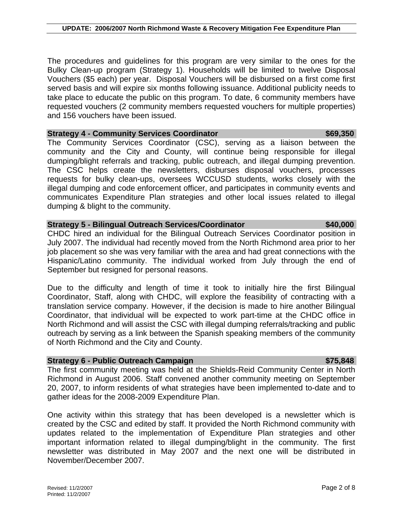The procedures and guidelines for this program are very similar to the ones for the Bulky Clean-up program (Strategy 1). Households will be limited to twelve Disposal Vouchers (\$5 each) per year. Disposal Vouchers will be disbursed on a first come first served basis and will expire six months following issuance. Additional publicity needs to take place to educate the public on this program. To date, 6 community members have requested vouchers (2 community members requested vouchers for multiple properties) and 156 vouchers have been issued.

### **Strategy 4 - Community Services Coordinator 1999.350 \$69,350**

The Community Services Coordinator (CSC), serving as a liaison between the community and the City and County, will continue being responsible for illegal dumping/blight referrals and tracking, public outreach, and illegal dumping prevention. The CSC helps create the newsletters, disburses disposal vouchers, processes requests for bulky clean-ups, oversees WCCUSD students, works closely with the illegal dumping and code enforcement officer, and participates in community events and communicates Expenditure Plan strategies and other local issues related to illegal dumping & blight to the community.

### **Strategy 5 - Bilingual Outreach Services/Coordinator \$40,000**

CHDC hired an individual for the Bilingual Outreach Services Coordinator position in July 2007. The individual had recently moved from the North Richmond area prior to her job placement so she was very familiar with the area and had great connections with the Hispanic/Latino community. The individual worked from July through the end of September but resigned for personal reasons.

Due to the difficulty and length of time it took to initially hire the first Bilingual Coordinator, Staff, along with CHDC, will explore the feasibility of contracting with a translation service company. However, if the decision is made to hire another Bilingual Coordinator, that individual will be expected to work part-time at the CHDC office in North Richmond and will assist the CSC with illegal dumping referrals/tracking and public outreach by serving as a link between the Spanish speaking members of the community of North Richmond and the City and County.

### **Strategy 6 - Public Outreach Campaign**  $\blacksquare$  **\$75,848**  $\blacksquare$  **\$75,848**  $\blacksquare$

The first community meeting was held at the Shields-Reid Community Center in North Richmond in August 2006. Staff convened another community meeting on September 20, 2007, to inform residents of what strategies have been implemented to-date and to gather ideas for the 2008-2009 Expenditure Plan.

One activity within this strategy that has been developed is a newsletter which is created by the CSC and edited by staff. It provided the North Richmond community with updates related to the implementation of Expenditure Plan strategies and other important information related to illegal dumping/blight in the community. The first newsletter was distributed in May 2007 and the next one will be distributed in November/December 2007.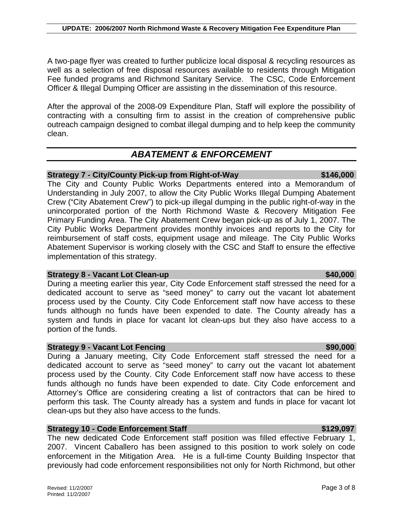During a meeting earlier this year, City Code Enforcement staff stressed the need for a dedicated account to serve as "seed money" to carry out the vacant lot abatement process used by the County. City Code Enforcement staff now have access to these funds although no funds have been expended to date. The County already has a system and funds in place for vacant lot clean-ups but they also have access to a portion of the funds.

### **Strategy 9 - Vacant Lot Fencing \$90,000 \$90,000 \$90,000 \$90,000 \$90,000 \$90,000 \$90,000 \$90.000 \$90.000 \$90.000 \$90.000 \$90.000 \$90.000 \$90.000 \$90.000 \$90.000 \$90.000 \$90.000 \$90.000 \$90.000 \$90.000 \$90.000 \$90.000 \$90.0**

During a January meeting, City Code Enforcement staff stressed the need for a dedicated account to serve as "seed money" to carry out the vacant lot abatement process used by the County. City Code Enforcement staff now have access to these funds although no funds have been expended to date. City Code enforcement and Attorney's Office are considering creating a list of contractors that can be hired to perform this task. The County already has a system and funds in place for vacant lot clean-ups but they also have access to the funds.

### **Strategy 10 - Code Enforcement Staff <b>\$129,097 \$129,097**

The new dedicated Code Enforcement staff position was filled effective February 1, 2007. Vincent Caballero has been assigned to this position to work solely on code enforcement in the Mitigation Area. He is a full-time County Building Inspector that previously had code enforcement responsibilities not only for North Richmond, but other

A two-page flyer was created to further publicize local disposal & recycling resources as well as a selection of free disposal resources available to residents through Mitigation Fee funded programs and Richmond Sanitary Service. The CSC, Code Enforcement Officer & Illegal Dumping Officer are assisting in the dissemination of this resource.

After the approval of the 2008-09 Expenditure Plan, Staff will explore the possibility of contracting with a consulting firm to assist in the creation of comprehensive public outreach campaign designed to combat illegal dumping and to help keep the community clean.

### *ABATEMENT & ENFORCEMENT*

### **Strategy 7 - City/County Pick-up from Right-of-Way \$146,000**

The City and County Public Works Departments entered into a Memorandum of Understanding in July 2007, to allow the City Public Works Illegal Dumping Abatement Crew ("City Abatement Crew") to pick-up illegal dumping in the public right-of-way in the unincorporated portion of the North Richmond Waste & Recovery Mitigation Fee Primary Funding Area. The City Abatement Crew began pick-up as of July 1, 2007. The City Public Works Department provides monthly invoices and reports to the City for reimbursement of staff costs, equipment usage and mileage. The City Public Works Abatement Supervisor is working closely with the CSC and Staff to ensure the effective implementation of this strategy.

# **Strategy 8 - Vacant Lot Clean-up \$40,000 \$40,000 \$40,000**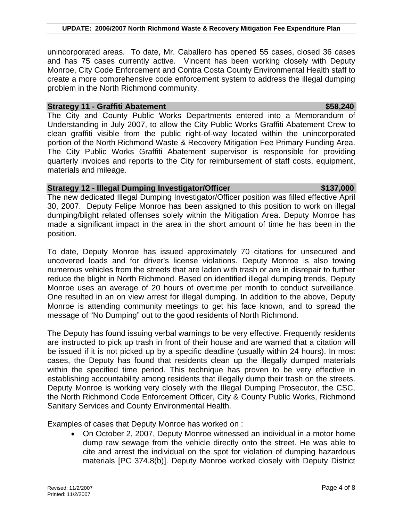unincorporated areas. To date, Mr. Caballero has opened 55 cases, closed 36 cases and has 75 cases currently active. Vincent has been working closely with Deputy Monroe, City Code Enforcement and Contra Costa County Environmental Health staff to create a more comprehensive code enforcement system to address the illegal dumping problem in the North Richmond community.

### **Strategy 11 - Graffiti Abatement \$58,240 \$58,240**

The City and County Public Works Departments entered into a Memorandum of Understanding in July 2007, to allow the City Public Works Graffiti Abatement Crew to clean graffiti visible from the public right-of-way located within the unincorporated portion of the North Richmond Waste & Recovery Mitigation Fee Primary Funding Area. The City Public Works Graffiti Abatement supervisor is responsible for providing quarterly invoices and reports to the City for reimbursement of staff costs, equipment, materials and mileage.

### **Strategy 12 - Illegal Dumping Investigator/Officer \$137,000 \$137,000**

The new dedicated Illegal Dumping Investigator/Officer position was filled effective April 30, 2007. Deputy Felipe Monroe has been assigned to this position to work on illegal dumping/blight related offenses solely within the Mitigation Area. Deputy Monroe has made a significant impact in the area in the short amount of time he has been in the position.

To date, Deputy Monroe has issued approximately 70 citations for unsecured and uncovered loads and for driver's license violations. Deputy Monroe is also towing numerous vehicles from the streets that are laden with trash or are in disrepair to further reduce the blight in North Richmond. Based on identified illegal dumping trends, Deputy Monroe uses an average of 20 hours of overtime per month to conduct surveillance. One resulted in an on view arrest for illegal dumping. In addition to the above, Deputy Monroe is attending community meetings to get his face known, and to spread the message of "No Dumping" out to the good residents of North Richmond.

The Deputy has found issuing verbal warnings to be very effective. Frequently residents are instructed to pick up trash in front of their house and are warned that a citation will be issued if it is not picked up by a specific deadline (usually within 24 hours). In most cases, the Deputy has found that residents clean up the illegally dumped materials within the specified time period. This technique has proven to be very effective in establishing accountability among residents that illegally dump their trash on the streets. Deputy Monroe is working very closely with the Illegal Dumping Prosecutor, the CSC, the North Richmond Code Enforcement Officer, City & County Public Works, Richmond Sanitary Services and County Environmental Health.

Examples of cases that Deputy Monroe has worked on :

• On October 2, 2007, Deputy Monroe witnessed an individual in a motor home dump raw sewage from the vehicle directly onto the street. He was able to cite and arrest the individual on the spot for violation of dumping hazardous materials [PC 374.8(b)]. Deputy Monroe worked closely with Deputy District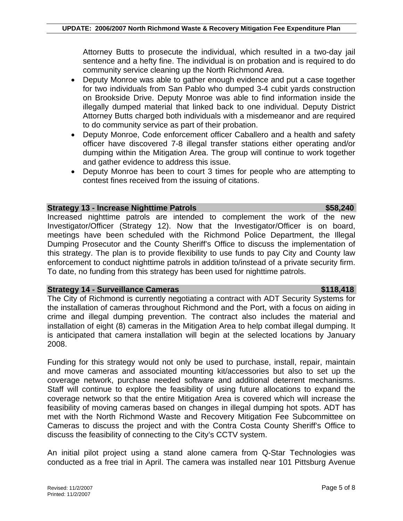Attorney Butts to prosecute the individual, which resulted in a two-day jail sentence and a hefty fine. The individual is on probation and is required to do community service cleaning up the North Richmond Area.

- Deputy Monroe was able to gather enough evidence and put a case together for two individuals from San Pablo who dumped 3-4 cubit yards construction on Brookside Drive. Deputy Monroe was able to find information inside the illegally dumped material that linked back to one individual. Deputy District Attorney Butts charged both individuals with a misdemeanor and are required to do community service as part of their probation.
- Deputy Monroe, Code enforcement officer Caballero and a health and safety officer have discovered 7-8 illegal transfer stations either operating and/or dumping within the Mitigation Area. The group will continue to work together and gather evidence to address this issue.
- Deputy Monroe has been to court 3 times for people who are attempting to contest fines received from the issuing of citations.

### **Strategy 13 - Increase Nighttime Patrols <b>\$58,240 \$58,240**

Increased nighttime patrols are intended to complement the work of the new Investigator/Officer (Strategy 12). Now that the Investigator/Officer is on board, meetings have been scheduled with the Richmond Police Department, the Illegal Dumping Prosecutor and the County Sheriff's Office to discuss the implementation of this strategy. The plan is to provide flexibility to use funds to pay City and County law enforcement to conduct nighttime patrols in addition to/instead of a private security firm. To date, no funding from this strategy has been used for nighttime patrols.

### **Strategy 14 - Surveillance Cameras \$118,418 \$118,418**

The City of Richmond is currently negotiating a contract with ADT Security Systems for the installation of cameras throughout Richmond and the Port, with a focus on aiding in crime and illegal dumping prevention. The contract also includes the material and installation of eight (8) cameras in the Mitigation Area to help combat illegal dumping. It is anticipated that camera installation will begin at the selected locations by January 2008.

Funding for this strategy would not only be used to purchase, install, repair, maintain and move cameras and associated mounting kit/accessories but also to set up the coverage network, purchase needed software and additional deterrent mechanisms. Staff will continue to explore the feasibility of using future allocations to expand the coverage network so that the entire Mitigation Area is covered which will increase the feasibility of moving cameras based on changes in illegal dumping hot spots. ADT has met with the North Richmond Waste and Recovery Mitigation Fee Subcommittee on Cameras to discuss the project and with the Contra Costa County Sheriff's Office to discuss the feasibility of connecting to the City's CCTV system.

An initial pilot project using a stand alone camera from Q-Star Technologies was conducted as a free trial in April. The camera was installed near 101 Pittsburg Avenue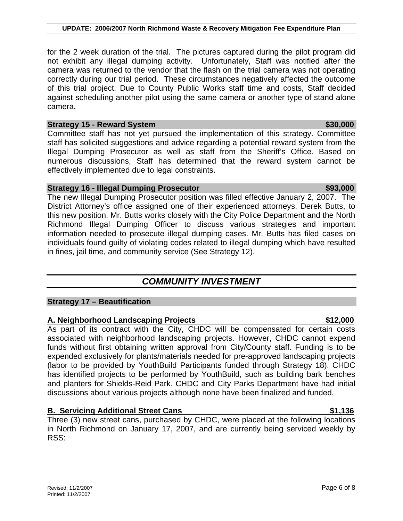### **UPDATE: 2006/2007 North Richmond Waste & Recovery Mitigation Fee Expenditure Plan**

for the 2 week duration of the trial. The pictures captured during the pilot program did not exhibit any illegal dumping activity. Unfortunately, Staff was notified after the camera was returned to the vendor that the flash on the trial camera was not operating correctly during our trial period. These circumstances negatively affected the outcome of this trial project. Due to County Public Works staff time and costs, Staff decided against scheduling another pilot using the same camera or another type of stand alone camera.

### **Strategy** 15 - Reward System **\$30,000 \$30,000**

Committee staff has not yet pursued the implementation of this strategy. Committee staff has solicited suggestions and advice regarding a potential reward system from the Illegal Dumping Prosecutor as well as staff from the Sheriff's Office. Based on numerous discussions, Staff has determined that the reward system cannot be effectively implemented due to legal constraints.

### **Strategy 16 - Illegal Dumping Prosecutor <b>\$93,000 \$93,000**

The new Illegal Dumping Prosecutor position was filled effective January 2, 2007. The District Attorney's office assigned one of their experienced attorneys, Derek Butts, to this new position. Mr. Butts works closely with the City Police Department and the North Richmond Illegal Dumping Officer to discuss various strategies and important information needed to prosecute illegal dumping cases. Mr. Butts has filed cases on individuals found guilty of violating codes related to illegal dumping which have resulted in fines, jail time, and community service (See Strategy 12).

# *COMMUNITY INVESTMENT*

### **Strategy 17 – Beautification**

### **A. Neighborhood Landscaping Projects \$12,000**

As part of its contract with the City, CHDC will be compensated for certain costs associated with neighborhood landscaping projects. However, CHDC cannot expend funds without first obtaining written approval from City/County staff. Funding is to be expended exclusively for plants/materials needed for pre-approved landscaping projects (labor to be provided by YouthBuild Participants funded through Strategy 18). CHDC has identified projects to be performed by YouthBuild, such as building bark benches and planters for Shields-Reid Park. CHDC and City Parks Department have had initial discussions about various projects although none have been finalized and funded.

### **B. Servicing Additional Street Cans 61, 136 \$1,136**

Three (3) new street cans, purchased by CHDC, were placed at the following locations in North Richmond on January 17, 2007, and are currently being serviced weekly by RSS: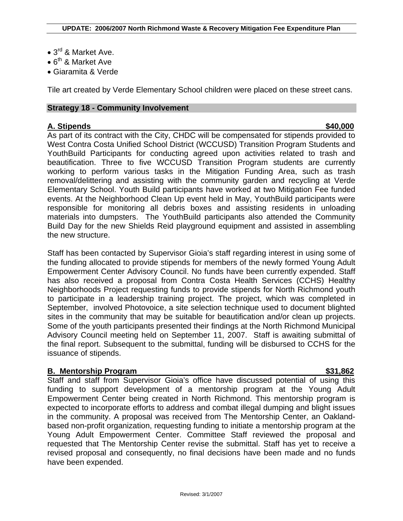- 3<sup>rd</sup> & Market Ave.
- $6^{th}$  & Market Ave
- Giaramita & Verde

Tile art created by Verde Elementary School children were placed on these street cans.

### **Strategy 18 - Community Involvement**

### **A. Stipends \$40,000**

As part of its contract with the City, CHDC will be compensated for stipends provided to West Contra Costa Unified School District (WCCUSD) Transition Program Students and YouthBuild Participants for conducting agreed upon activities related to trash and beautification. Three to five WCCUSD Transition Program students are currently working to perform various tasks in the Mitigation Funding Area, such as trash removal/delittering and assisting with the community garden and recycling at Verde Elementary School. Youth Build participants have worked at two Mitigation Fee funded events. At the Neighborhood Clean Up event held in May, YouthBuild participants were responsible for monitoring all debris boxes and assisting residents in unloading materials into dumpsters. The YouthBuild participants also attended the Community Build Day for the new Shields Reid playground equipment and assisted in assembling the new structure.

Staff has been contacted by Supervisor Gioia's staff regarding interest in using some of the funding allocated to provide stipends for members of the newly formed Young Adult Empowerment Center Advisory Council. No funds have been currently expended. Staff has also received a proposal from Contra Costa Health Services (CCHS) Healthy Neighborhoods Project requesting funds to provide stipends for North Richmond youth to participate in a leadership training project. The project, which was completed in September, involved Photovoice, a site selection technique used to document blighted sites in the community that may be suitable for beautification and/or clean up projects. Some of the youth participants presented their findings at the North Richmond Municipal Advisory Council meeting held on September 11, 2007. Staff is awaiting submittal of the final report. Subsequent to the submittal, funding will be disbursed to CCHS for the issuance of stipends.

### **B. Mentorship Program \$31,862**

Staff and staff from Supervisor Gioia's office have discussed potential of using this funding to support development of a mentorship program at the Young Adult Empowerment Center being created in North Richmond. This mentorship program is expected to incorporate efforts to address and combat illegal dumping and blight issues in the community. A proposal was received from The Mentorship Center, an Oaklandbased non-profit organization, requesting funding to initiate a mentorship program at the Young Adult Empowerment Center. Committee Staff reviewed the proposal and requested that The Mentorship Center revise the submittal. Staff has yet to receive a revised proposal and consequently, no final decisions have been made and no funds have been expended.